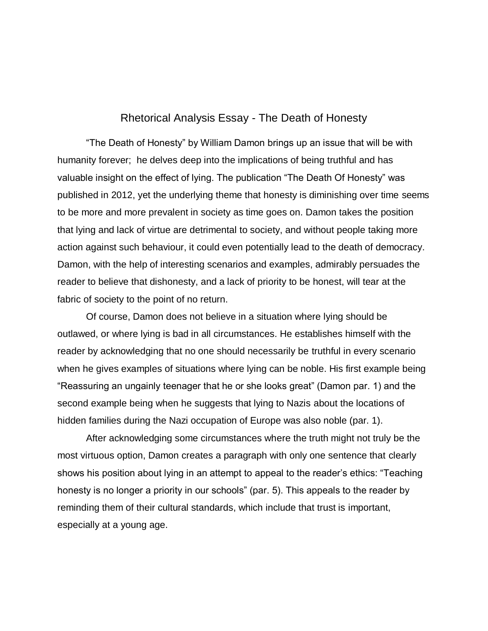## Rhetorical Analysis Essay - The Death of Honesty

"The Death of Honesty" by William Damon brings up an issue that will be with humanity forever; he delves deep into the implications of being truthful and has valuable insight on the effect of lying. The publication "The Death Of Honesty" was published in 2012, yet the underlying theme that honesty is diminishing over time seems to be more and more prevalent in society as time goes on. Damon takes the position that lying and lack of virtue are detrimental to society, and without people taking more action against such behaviour, it could even potentially lead to the death of democracy. Damon, with the help of interesting scenarios and examples, admirably persuades the reader to believe that dishonesty, and a lack of priority to be honest, will tear at the fabric of society to the point of no return.

Of course, Damon does not believe in a situation where lying should be outlawed, or where lying is bad in all circumstances. He establishes himself with the reader by acknowledging that no one should necessarily be truthful in every scenario when he gives examples of situations where lying can be noble. His first example being "Reassuring an ungainly teenager that he or she looks great" (Damon par. 1) and the second example being when he suggests that lying to Nazis about the locations of hidden families during the Nazi occupation of Europe was also noble (par. 1).

After acknowledging some circumstances where the truth might not truly be the most virtuous option, Damon creates a paragraph with only one sentence that clearly shows his position about lying in an attempt to appeal to the reader's ethics: "Teaching honesty is no longer a priority in our schools" (par. 5). This appeals to the reader by reminding them of their cultural standards, which include that trust is important, especially at a young age.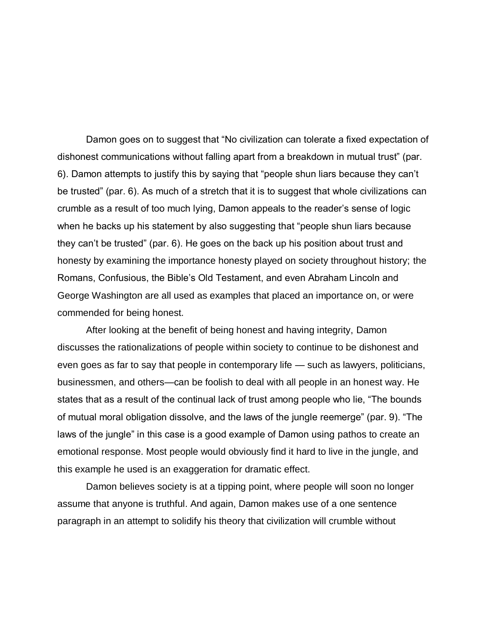Damon goes on to suggest that "No civilization can tolerate a fixed expectation of dishonest communications without falling apart from a breakdown in mutual trust" (par. 6). Damon attempts to justify this by saying that "people shun liars because they can't be trusted" (par. 6). As much of a stretch that it is to suggest that whole civilizations can crumble as a result of too much lying, Damon appeals to the reader's sense of logic when he backs up his statement by also suggesting that "people shun liars because they can't be trusted" (par. 6). He goes on the back up his position about trust and honesty by examining the importance honesty played on society throughout history; the Romans, Confusious, the Bible's Old Testament, and even Abraham Lincoln and George Washington are all used as examples that placed an importance on, or were commended for being honest.

After looking at the benefit of being honest and having integrity, Damon discusses the rationalizations of people within society to continue to be dishonest and even goes as far to say that people in contemporary life — such as lawyers, politicians, businessmen, and others—can be foolish to deal with all people in an honest way. He states that as a result of the continual lack of trust among people who lie, "The bounds of mutual moral obligation dissolve, and the laws of the jungle reemerge" (par. 9). "The laws of the jungle" in this case is a good example of Damon using pathos to create an emotional response. Most people would obviously find it hard to live in the jungle, and this example he used is an exaggeration for dramatic effect.

Damon believes society is at a tipping point, where people will soon no longer assume that anyone is truthful. And again, Damon makes use of a one sentence paragraph in an attempt to solidify his theory that civilization will crumble without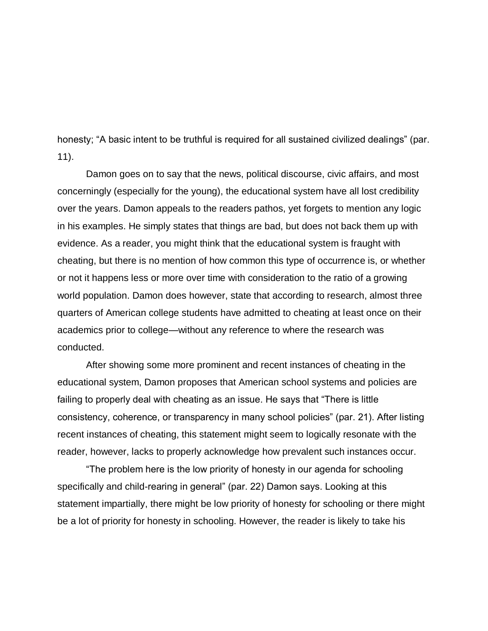honesty; "A basic intent to be truthful is required for all sustained civilized dealings" (par. 11).

Damon goes on to say that the news, political discourse, civic affairs, and most concerningly (especially for the young), the educational system have all lost credibility over the years. Damon appeals to the readers pathos, yet forgets to mention any logic in his examples. He simply states that things are bad, but does not back them up with evidence. As a reader, you might think that the educational system is fraught with cheating, but there is no mention of how common this type of occurrence is, or whether or not it happens less or more over time with consideration to the ratio of a growing world population. Damon does however, state that according to research, almost three quarters of American college students have admitted to cheating at least once on their academics prior to college—without any reference to where the research was conducted.

After showing some more prominent and recent instances of cheating in the educational system, Damon proposes that American school systems and policies are failing to properly deal with cheating as an issue. He says that "There is little consistency, coherence, or transparency in many school policies" (par. 21). After listing recent instances of cheating, this statement might seem to logically resonate with the reader, however, lacks to properly acknowledge how prevalent such instances occur.

"The problem here is the low priority of honesty in our agenda for schooling specifically and child-rearing in general" (par. 22) Damon says. Looking at this statement impartially, there might be low priority of honesty for schooling or there might be a lot of priority for honesty in schooling. However, the reader is likely to take his